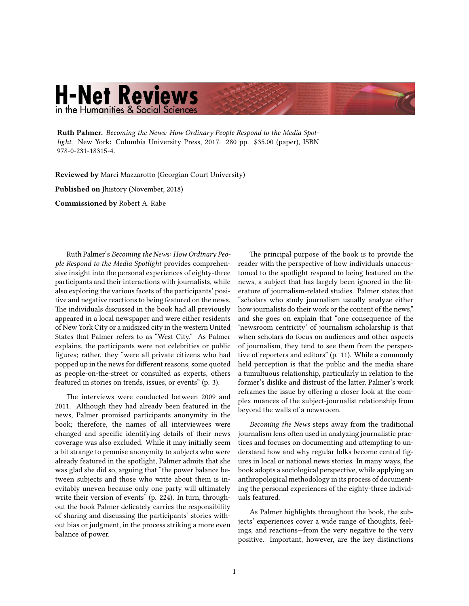## **H-Net Reviews** in the Humanities & Social Sciences

**Ruth Palmer.** *[Becoming the News: How Ordinary People Respond to the Media Spot](http://www.amazon.com/exec/obidos/ASIN/0231183151)[light.](http://www.amazon.com/exec/obidos/ASIN/0231183151)* New York: Columbia University Press, 2017. 280 pp. \$35.00 (paper), ISBN 978-0-231-18315-4.

**Reviewed by** Marci Mazzarotto (Georgian Court University) **Published on** Jhistory (November, 2018) **Commissioned by** Robert A. Rabe

Ruth Palmer's *Becoming the News: How Ordinary People Respond to the Media Spotlight* provides comprehensive insight into the personal experiences of eighty-three participants and their interactions with journalists, while also exploring the various facets of the participants' positive and negative reactions to being featured on the news. The individuals discussed in the book had all previously appeared in a local newspaper and were either residents of New York City or a midsized city in the western United States that Palmer refers to as "West City." As Palmer explains, the participants were not celebrities or public figures; rather, they "were all private citizens who had popped up in the news for different reasons, some quoted as people-on-the-street or consulted as experts, others featured in stories on trends, issues, or events" (p. 3).

The interviews were conducted between 2009 and 2011. Although they had already been featured in the news, Palmer promised participants anonymity in the book; therefore, the names of all interviewees were changed and specific identifying details of their news coverage was also excluded. While it may initially seem a bit strange to promise anonymity to subjects who were already featured in the spotlight, Palmer admits that she was glad she did so, arguing that "the power balance between subjects and those who write about them is inevitably uneven because only one party will ultimately write their version of events" (p. 224). In turn, throughout the book Palmer delicately carries the responsibility of sharing and discussing the participants' stories without bias or judgment, in the process striking a more even balance of power.

The principal purpose of the book is to provide the reader with the perspective of how individuals unaccustomed to the spotlight respond to being featured on the news, a subject that has largely been ignored in the literature of journalism-related studies. Palmer states that "scholars who study journalism usually analyze either how journalists do their work or the content of the news," and she goes on explain that "one consequence of the 'newsroom centricity' of journalism scholarship is that when scholars do focus on audiences and other aspects of journalism, they tend to see them from the perspective of reporters and editors" (p. 11). While a commonly held perception is that the public and the media share a tumultuous relationship, particularly in relation to the former's dislike and distrust of the latter, Palmer's work reframes the issue by offering a closer look at the complex nuances of the subject-journalist relationship from beyond the walls of a newsroom.

*Becoming the News* steps away from the traditional journalism lens often used in analyzing journalistic practices and focuses on documenting and attempting to understand how and why regular folks become central figures in local or national news stories. In many ways, the book adopts a sociological perspective, while applying an anthropological methodology in its process of documenting the personal experiences of the eighty-three individuals featured.

As Palmer highlights throughout the book, the subjects' experiences cover a wide range of thoughts, feelings, and reactions—from the very negative to the very positive. Important, however, are the key distinctions